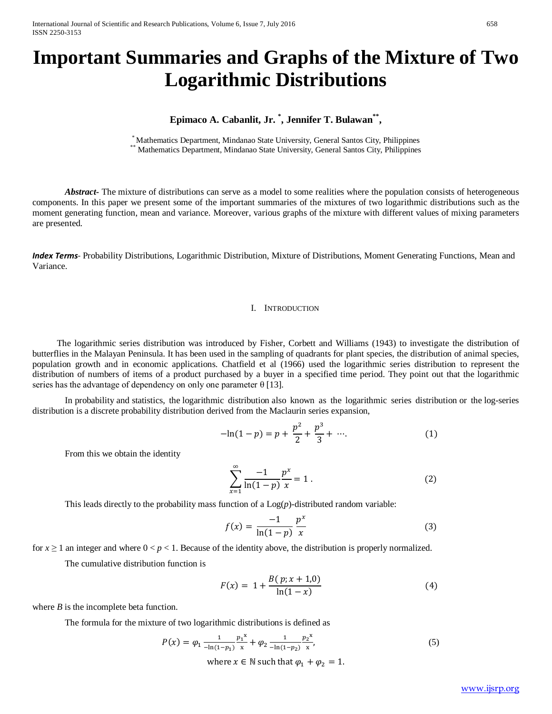# **Important Summaries and Graphs of the Mixture of Two Logarithmic Distributions**

# **Epimaco A. Cabanlit, Jr. \* , Jennifer T. Bulawan\*\*,**

\* Mathematics Department, Mindanao State University, General Santos City, Philippines<br>\*\* Mathematics Department, Mindanao State University, General Santos City, Philippines

Abstract **-** The mixture of distributions can serve as a model to some realities where the population consists of heterogeneous components. In this paper we present some of the important summaries of the mixtures of two logarithmic distributions such as the moment generating function, mean and variance. Moreover, various graphs of the mixture with different values of mixing parameters are presented.

*Index Terms*- Probability Distributions, Logarithmic Distribution, Mixture of Distributions, Moment Generating Functions, Mean and Variance.

#### I. INTRODUCTION

The logarithmic series distribution was introduced by Fisher, Corbett and Williams (1943) to investigate the distribution of butterflies in the Malayan Peninsula. It has been used in the sampling of quadrants for plant species, the distribution of animal species, population growth and in economic applications. Chatfield et al (1966) used the logarithmic series distribution to represent the distribution of numbers of items of a product purchased by a buyer in a specified time period. They point out that the logarithmic series has the advantage of dependency on only one parameter  $\theta$  [\[13\].](https://en.wikipedia.org/wiki/Logarithmic_distribution#cite_note-1)

In [probability](https://en.wikipedia.org/wiki/Probability) and [statistics,](https://en.wikipedia.org/wiki/Statistics) the logarithmic distribution also known as the logarithmic series distribution or the log-series distribution is a [discrete probability distribution](https://en.wikipedia.org/wiki/Discrete_probability_distribution) derived from the [Maclaurin series](https://en.wikipedia.org/wiki/Maclaurin_series) expansion,

$$
-\ln(1-p) = p + \frac{p^2}{2} + \frac{p^3}{3} + \cdots.
$$
 (1)

From this we obtain the identity

$$
\sum_{x=1}^{\infty} \frac{-1}{\ln(1-p)} \frac{p^x}{x} = 1.
$$
 (2)

This leads directly to the [probability mass function](https://en.wikipedia.org/wiki/Probability_mass_function) of a  $Log(p)$ -distributed [random variable:](https://en.wikipedia.org/wiki/Random_variable)

$$
f(x) = \frac{-1}{\ln(1-p)} \frac{p^x}{x}
$$
 (3)

for  $x \ge 1$  an integer and where  $0 < p < 1$ . Because of the identity above, the distribution is properly normalized.

The [cumulative distribution function](https://en.wikipedia.org/wiki/Cumulative_distribution_function) is

$$
F(x) = 1 + \frac{B(p; x + 1,0)}{\ln(1 - x)}
$$
(4)

where *B* is the [incomplete beta function.](https://en.wikipedia.org/wiki/Incomplete_beta_function)

The formula for the mixture of two logarithmic distributions is defined as

$$
P(x) = \varphi_1 \frac{1}{-\ln(1-p_1)} \frac{p_1^x}{x} + \varphi_2 \frac{1}{-\ln(1-p_2)} \frac{p_2^x}{x},
$$
\n(5)

where  $x \in \mathbb{N}$  such that  $\varphi_1 + \varphi_2 = 1$ .

[www.ijsrp.org](http://ijsrp.org/)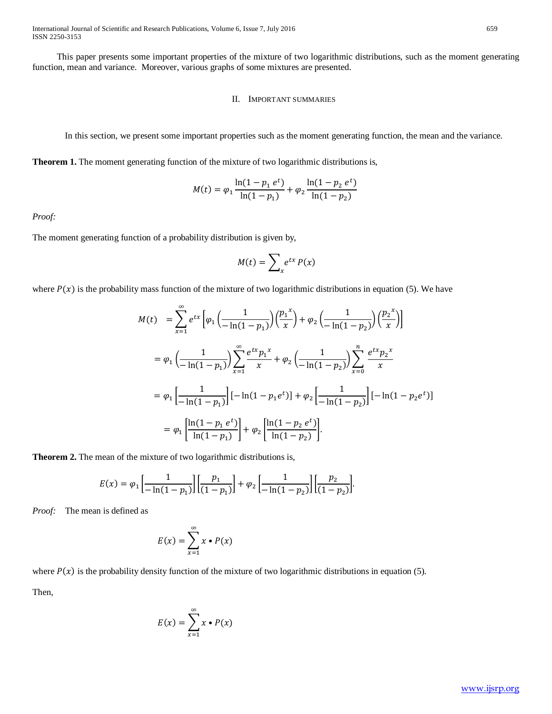This paper presents some important properties of the mixture of two logarithmic distributions, such as the moment generating function, mean and variance. Moreover, various graphs of some mixtures are presented.

## II. IMPORTANT SUMMARIES

In this section, we present some important properties such as the moment generating function, the mean and the variance.

**Theorem 1.** The moment generating function of the mixture of two logarithmic distributions is,

$$
M(t) = \varphi_1 \frac{\ln(1 - p_1 \, e^t)}{\ln(1 - p_1)} + \varphi_2 \frac{\ln(1 - p_2 \, e^t)}{\ln(1 - p_2)}
$$

*Proof:*

The moment generating function of a probability distribution is given by,

∞

$$
M(t) = \sum_{x} e^{tx} P(x)
$$

where  $P(x)$  is the probability mass function of the mixture of two logarithmic distributions in equation (5). We have

$$
M(t) = \sum_{x=1}^{\infty} e^{tx} \left[ \varphi_1 \left( \frac{1}{-\ln(1-p_1)} \right) \left( \frac{p_1^x}{x} \right) + \varphi_2 \left( \frac{1}{-\ln(1-p_2)} \right) \left( \frac{p_2^x}{x} \right) \right]
$$
  

$$
= \varphi_1 \left( \frac{1}{-\ln(1-p_1)} \right) \sum_{x=1}^{\infty} \frac{e^{tx} p_1^x}{x} + \varphi_2 \left( \frac{1}{-\ln(1-p_2)} \right) \sum_{x=0}^n \frac{e^{tx} p_2^x}{x}
$$
  

$$
= \varphi_1 \left[ \frac{1}{-\ln(1-p_1)} \right] [-\ln(1-p_1 e^t)] + \varphi_2 \left[ \frac{1}{-\ln(1-p_2)} \right] [-\ln(1-p_2 e^t)]
$$
  

$$
= \varphi_1 \left[ \frac{\ln(1-p_1 e^t)}{\ln(1-p_1)} \right] + \varphi_2 \left[ \frac{\ln(1-p_2 e^t)}{\ln(1-p_2)} \right].
$$

**Theorem 2.** The mean of the mixture of two logarithmic distributions is,

$$
E(x) = \varphi_1 \left[ \frac{1}{-\ln(1-p_1)} \right] \left[ \frac{p_1}{(1-p_1)} \right] + \varphi_2 \left[ \frac{1}{-\ln(1-p_2)} \right] \left[ \frac{p_2}{(1-p_2)} \right].
$$

*Proof:* The mean is defined as

$$
E(x) = \sum_{x=1}^{\infty} x \cdot P(x)
$$

where  $P(x)$  is the probability density function of the mixture of two logarithmic distributions in equation (5).

Then,

$$
E(x) = \sum_{x=1}^{\infty} x \cdot P(x)
$$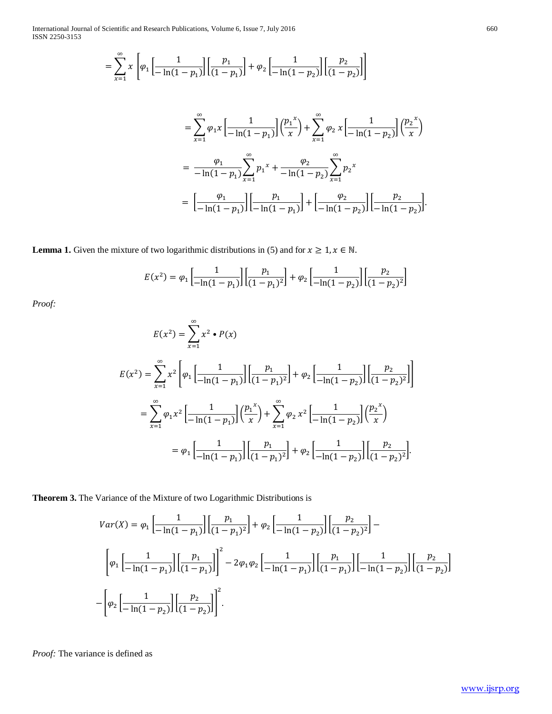International Journal of Scientific and Research Publications, Volume 6, Issue 7, July 2016 ISSN 2250-3153

$$
= \sum_{x=1}^{\infty} x \left[ \varphi_1 \left[ \frac{1}{-\ln(1-p_1)} \right] \left[ \frac{p_1}{(1-p_1)} \right] + \varphi_2 \left[ \frac{1}{-\ln(1-p_2)} \right] \left[ \frac{p_2}{(1-p_2)} \right] \right]
$$

$$
= \sum_{x=1}^{\infty} \varphi_1 x \left[ \frac{1}{-\ln(1-p_1)} \right] \left( \frac{p_1^x}{x} \right) + \sum_{x=1}^{\infty} \varphi_2 x \left[ \frac{1}{-\ln(1-p_2)} \right] \left( \frac{p_2^x}{x} \right)
$$
  

$$
= \frac{\varphi_1}{-\ln(1-p_1)} \sum_{x=1}^{\infty} p_1^x + \frac{\varphi_2}{-\ln(1-p_2)} \sum_{x=1}^{\infty} p_2^x
$$
  

$$
= \left[ \frac{\varphi_1}{-\ln(1-p_1)} \right] \left[ \frac{p_1}{-\ln(1-p_1)} \right] + \left[ \frac{\varphi_2}{-\ln(1-p_2)} \right] \left[ \frac{p_2}{-\ln(1-p_2)} \right].
$$

**Lemma 1.** Given the mixture of two logarithmic distributions in (5) and for  $x \ge 1, x \in \mathbb{N}$ .

$$
E(x^{2}) = \varphi_{1} \left[ \frac{1}{-\ln(1-p_{1})} \right] \left[ \frac{p_{1}}{(1-p_{1})^{2}} \right] + \varphi_{2} \left[ \frac{1}{-\ln(1-p_{2})} \right] \left[ \frac{p_{2}}{(1-p_{2})^{2}} \right]
$$

Proof:

$$
E(x^{2}) = \sum_{x=1}^{\infty} x^{2} \cdot P(x)
$$
  
\n
$$
E(x^{2}) = \sum_{x=1}^{\infty} x^{2} \left[ \varphi_{1} \left[ \frac{1}{-\ln(1-p_{1})} \right] \left[ \frac{p_{1}}{(1-p_{1})^{2}} \right] + \varphi_{2} \left[ \frac{1}{-\ln(1-p_{2})} \right] \left[ \frac{p_{2}}{(1-p_{2})^{2}} \right] \right]
$$
  
\n
$$
= \sum_{x=1}^{\infty} \varphi_{1} x^{2} \left[ \frac{1}{-\ln(1-p_{1})} \right] \left( \frac{p_{1}^{x}}{x} \right) + \sum_{x=1}^{\infty} \varphi_{2} x^{2} \left[ \frac{1}{-\ln(1-p_{2})} \right] \left( \frac{p_{2}^{x}}{x} \right)
$$
  
\n
$$
= \varphi_{1} \left[ \frac{1}{-\ln(1-p_{1})} \right] \left[ \frac{p_{1}}{(1-p_{1})^{2}} \right] + \varphi_{2} \left[ \frac{1}{-\ln(1-p_{2})} \right] \left[ \frac{p_{2}}{(1-p_{2})^{2}} \right].
$$

Theorem 3. The Variance of the Mixture of two Logarithmic Distributions is

$$
Var(X) = \varphi_1 \left[ \frac{1}{-\ln(1-p_1)} \right] \left[ \frac{p_1}{(1-p_1)^2} \right] + \varphi_2 \left[ \frac{1}{-\ln(1-p_2)} \right] \left[ \frac{p_2}{(1-p_2)^2} \right] - \left[ \varphi_1 \left[ \frac{1}{-\ln(1-p_1)} \right] \left[ \frac{p_1}{(1-p_1)} \right] \left[ \frac{p_1}{(1-p_1)} \right] \right] - 2\varphi_1 \varphi_2 \left[ \frac{1}{-\ln(1-p_1)} \right] \left[ \frac{p_1}{(1-p_1)} \right] \left[ \frac{p_1}{- \ln(1-p_2)} \right] \left[ \frac{p_2}{(1-p_2)} \right] - \left[ \varphi_2 \left[ \frac{1}{-\ln(1-p_2)} \right] \left[ \frac{p_2}{(1-p_2)} \right] \right]^2.
$$

Proof: The variance is defined as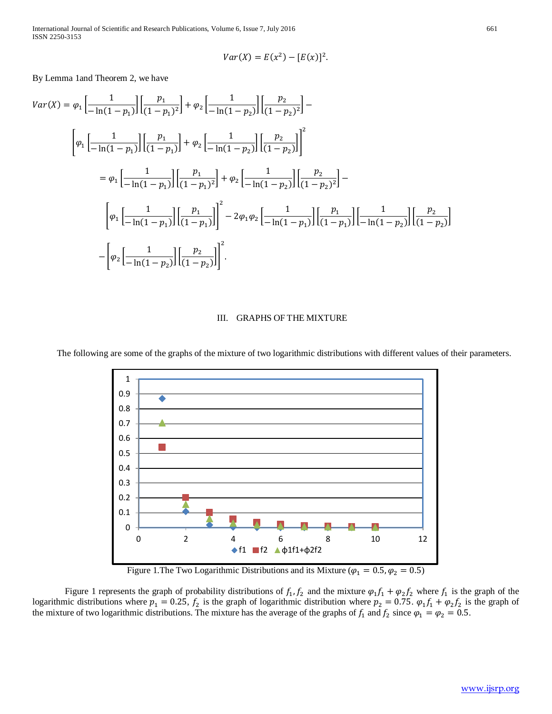International Journal of Scientific and Research Publications, Volume 6, Issue 7, July 2016 661 ISSN 2250-3153

$$
Var(X) = E(x^2) - [E(x)]^2.
$$

By Lemma 1and Theorem 2, we have

$$
Var(X) = \varphi_1 \left[ \frac{1}{-\ln(1-p_1)} \right] \left[ \frac{p_1}{(1-p_1)^2} \right] + \varphi_2 \left[ \frac{1}{-\ln(1-p_2)} \right] \left[ \frac{p_2}{(1-p_2)^2} \right] -
$$
  

$$
\left[ \varphi_1 \left[ \frac{1}{-\ln(1-p_1)} \right] \left[ \frac{p_1}{(1-p_1)} \right] + \varphi_2 \left[ \frac{1}{-\ln(1-p_2)} \right] \left[ \frac{p_2}{(1-p_2)} \right] \right]^2
$$
  

$$
= \varphi_1 \left[ \frac{1}{-\ln(1-p_1)} \right] \left[ \frac{p_1}{(1-p_1)^2} \right] + \varphi_2 \left[ \frac{1}{-\ln(1-p_2)} \right] \left[ \frac{p_2}{(1-p_2)^2} \right] -
$$
  

$$
\left[ \varphi_1 \left[ \frac{1}{-\ln(1-p_1)} \right] \left[ \frac{p_1}{(1-p_1)} \right] \right]^2 - 2\varphi_1 \varphi_2 \left[ \frac{1}{-\ln(1-p_1)} \right] \left[ \frac{p_1}{(1-p_1)} \right] \left[ \frac{1}{- \ln(1-p_2)} \right] \left[ \frac{p_2}{(1-p_2)} \right]
$$
  

$$
- \left[ \varphi_2 \left[ \frac{1}{-\ln(1-p_2)} \right] \left[ \frac{p_2}{(1-p_2)} \right] \right]^2.
$$

### III. GRAPHS OF THE MIXTURE

The following are some of the graphs of the mixture of two logarithmic distributions with different values of their parameters.



Figure 1. The Two Logarithmic Distributions and its Mixture ( $\varphi_1 = 0.5, \varphi_2 = 0.5$ )

Figure 1 represents the graph of probability distributions of  $f_1, f_2$  and the mixture  $\varphi_1 f_1 + \varphi_2 f_2$  where  $f_1$  is the graph of the logarithmic distributions where  $p_1 = 0.25$ ,  $f_2$  is the graph of logarithmic distribution where  $p_2 = 0.75$ .  $\varphi_1 f_1 + \varphi_2 f_2$  is the graph of the mixture of two logarithmic distributions. The mixture has the average of the graphs of  $f_1$  and  $f_2$  since  $\varphi_1 = \varphi_2 = 0.5$ .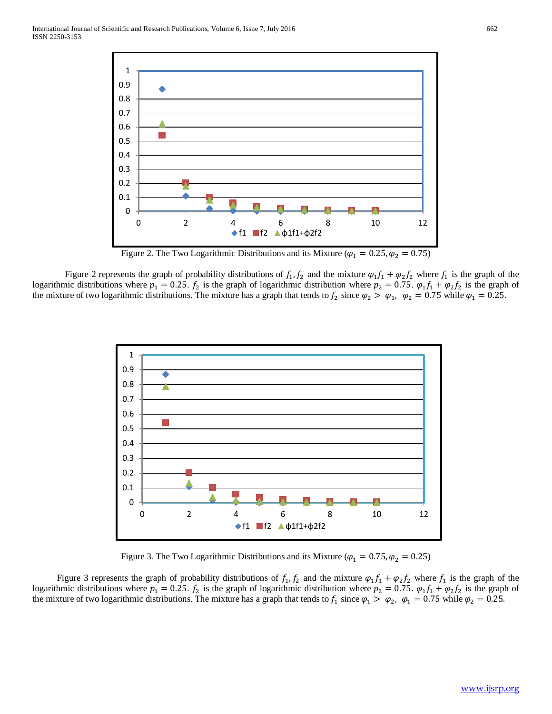

Figure 2. The Two Logarithmic Distributions and its Mixture ( $\varphi_1 = 0.25, \varphi_2 = 0.75$ )

Figure 2 represents the graph of probability distributions of  $f_1, f_2$  and the mixture  $\varphi_1 f_1 + \varphi_2 f_2$  where  $f_1$  is the graph of the logarithmic distributions where  $p_1 = 0.25$ .  $f_2$  is the graph of logarithmic distribution where  $p_2 = 0.75$ .  $\varphi_1 f_1 + \varphi_2 f_2$  is the graph of the mixture of two logarithmic distributions. The mixture has a graph that tends to  $f_2$  since  $\varphi_2 > \varphi_1$ ,  $\varphi_2 = 0.75$  while  $\varphi_1 = 0.25$ .



Figure 3. The Two Logarithmic Distributions and its Mixture ( $\varphi_1 = 0.75$ ,  $\varphi_2 = 0.25$ )

Figure 3 represents the graph of probability distributions of  $f_1$ ,  $f_2$  and the mixture  $\varphi_1 f_1 + \varphi_2 f_2$  where  $f_1$  is the graph of the logarithmic distributions where  $p_1 = 0.25$ .  $f_2$  is the graph of logarithmic distribution where  $p_2 = 0.75$ .  $\varphi_1 f_1 + \varphi_2 f_2$  is the graph of the mixture of two logarithmic distributions. The mixture has a graph that tends to  $f_1$  since  $\varphi_1 > \varphi_2$ ,  $\varphi_1 = 0.75$  while  $\varphi_2 = 0.25$ .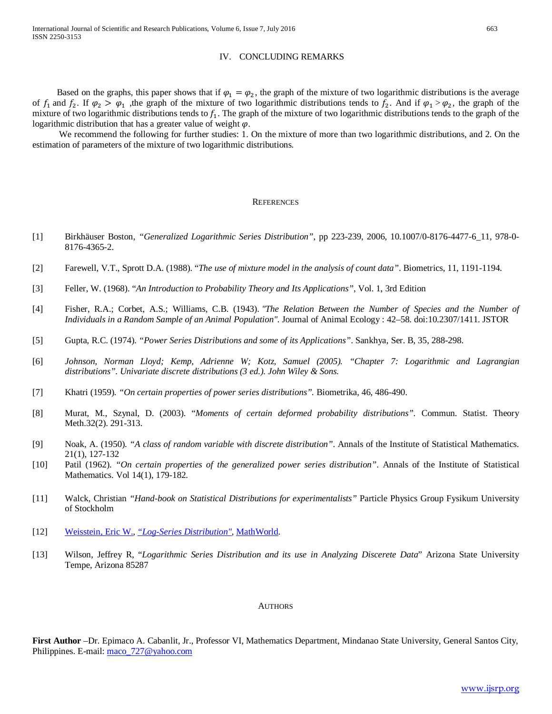### IV. CONCLUDING REMARKS

Based on the graphs, this paper shows that if  $\varphi_1 = \varphi_2$ , the graph of the mixture of two logarithmic distributions is the average of  $f_1$  and  $f_2$ . If  $\varphi_2 > \varphi_1$ , the graph of the mixture of two logarithmic distributions tends to  $f_2$ . And if  $\varphi_1 > \varphi_2$ , the graph of the mixture of two logarithmic distributions tends to  $f_1$ . The graph of the mixture of two logarithmic distributions tends to the graph of the logarithmic distribution that has a greater value of weight  $\varphi$ .

We recommend the following for further studies: 1. On the mixture of more than two logarithmic distributions, and 2. On the estimation of parameters of the mixture of two logarithmic distributions.

#### **REFERENCES**

- [1] Birkhäuser Boston, *"Generalized Logarithmic Series Distribution"*, pp 223-239, 2006, 10.1007/0-8176-4477-6\_11, 978-0- 8176-4365-2.
- [2] Farewell, V.T., Sprott D.A. (1988). "*The use of mixture model in the analysis of count data"*. Biometrics, 11, 1191-1194.
- [3] Feller, W. (1968). "*An Introduction to Probability Theory and Its Applications"*, Vol. 1, 3rd Edition
- [4] Fisher, R.A.; Corbet, A.S.; Williams, C.B. (1943). *["The Relation Between the Number of Species and the Number of](http://www.math.mcgill.ca/~dstephens/556/Papers/Fisher1943.pdf)  Individuals in a Random [Sample of an Animal Population".](http://www.math.mcgill.ca/~dstephens/556/Papers/Fisher1943.pdf)* Journal of Animal Ecology : 42–58. [doi:](http://deathpix.com:8000/wikipedia_en_all_07_2014/A/Digital_object_identifier.html)[10.2307/1411.](http://dx.doi.org/10.2307%2F1411) [JSTOR](http://deathpix.com:8000/wikipedia_en_all_07_2014/A/JSTOR.html)
- [5] Gupta, R.C. (1974). *"Power Series Distributions and some of its Applications"*. Sankhya, Ser. B, 35, 288-298.
- [6] *Johnson, Norman Lloyd; Kemp, Adrienne W; Kotz, Samuel (2005). "Chapter 7: Logarithmic and Lagrangian distributions". Univariate discrete distributions (3 ed.). John Wiley & Sons.*
- [7] Khatri (1959). *"On certain properties of power series distributions".* Biometrika, 46, 486-490.
- [8] Murat, M., Szynal, D. (2003). "*Moments of certain deformed probability distributions".* Commun. Statist. Theory Meth.32(2). 291-313.
- [9] Noak, A. (1950). *"A class of random variable with discrete distribution"*. Annals of the Institute of Statistical Mathematics. 21(1), 127-132
- [10] Patil (1962). *"On certain properties of the generalized power series distribution"*. Annals of the Institute of Statistical Mathematics. Vol 14(1), 179-182.
- [11] Walck, Christian *"Hand-book on Statistical Distributions for experimentalists"* Particle Physics Group Fysikum University of Stockholm
- [12] [Weisstein, Eric W.,](https://en.wikipedia.org/wiki/Eric_W._Weisstein) *["Log-Series Distribution"](http://mathworld.wolfram.com/Log-SeriesDistribution.html)*, [MathWorld.](https://en.wikipedia.org/wiki/MathWorld)
- [13] Wilson, Jeffrey R, "*Logarithmic Series Distribution and its use in Analyzing Discerete Data*" Arizona State University Tempe, Arizona 85287

#### **AUTHORS**

**First Author** –Dr. Epimaco A. Cabanlit, Jr., Professor VI, Mathematics Department, Mindanao State University, General Santos City, Philippines. E-mail[: maco\\_727@yahoo.com](mailto:maco_727@yahoo.com)